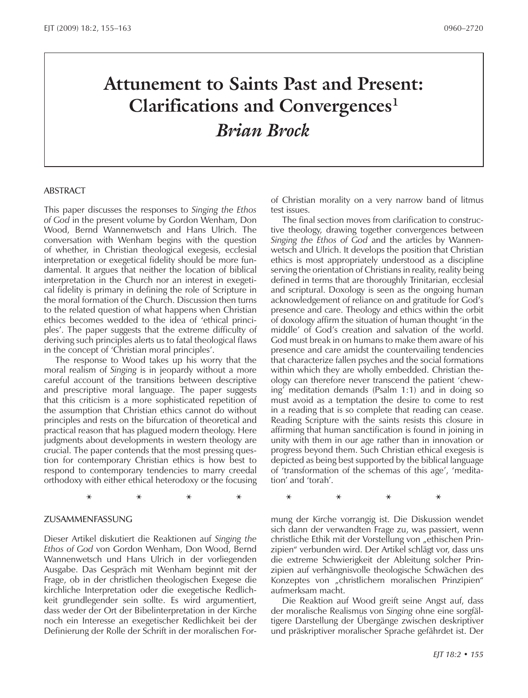# **Attunement to Saints Past and Present: Clarifications and Convergences1** *Brian Brock*

**\* \* \* \* \* \* \* \***

#### **ABSTRACT**

This paper discusses the responses to *Singing the Ethos of God* in the present volume by Gordon Wenham, Don Wood, Bernd Wannenwetsch and Hans Ulrich. The conversation with Wenham begins with the question of whether, in Christian theological exegesis, ecclesial interpretation or exegetical fidelity should be more fundamental. It argues that neither the location of biblical interpretation in the Church nor an interest in exegetical fidelity is primary in defining the role of Scripture in the moral formation of the Church. Discussion then turns to the related question of what happens when Christian ethics becomes wedded to the idea of 'ethical principles'. The paper suggests that the extreme difficulty of deriving such principles alerts us to fatal theological flaws in the concept of 'Christian moral principles'.

The response to Wood takes up his worry that the moral realism of *Singing* is in jeopardy without a more careful account of the transitions between descriptive and prescriptive moral language. The paper suggests that this criticism is a more sophisticated repetition of the assumption that Christian ethics cannot do without principles and rests on the bifurcation of theoretical and practical reason that has plagued modern theology. Here judgments about developments in western theology are crucial. The paper contends that the most pressing question for contemporary Christian ethics is how best to respond to contemporary tendencies to marry creedal orthodoxy with either ethical heterodoxy or the focusing

#### Zusammenfassung

Dieser Artikel diskutiert die Reaktionen auf *Singing the Ethos of God* von Gordon Wenham, Don Wood, Bernd Wannenwetsch und Hans Ulrich in der vorliegenden Ausgabe. Das Gespräch mit Wenham beginnt mit der Frage, ob in der christlichen theologischen Exegese die kirchliche Interpretation oder die exegetische Redlichkeit grundlegender sein sollte. Es wird argumentiert, dass weder der Ort der Bibelinterpretation in der Kirche noch ein Interesse an exegetischer Redlichkeit bei der Definierung der Rolle der Schrift in der moralischen Forof Christian morality on a very narrow band of litmus test issues.

The final section moves from clarification to constructive theology, drawing together convergences between *Singing the Ethos of God* and the articles by Wannenwetsch and Ulrich. It develops the position that Christian ethics is most appropriately understood as a discipline serving the orientation of Christians in reality, reality being defined in terms that are thoroughly Trinitarian, ecclesial and scriptural. Doxology is seen as the ongoing human acknowledgement of reliance on and gratitude for God's presence and care. Theology and ethics within the orbit of doxology affirm the situation of human thought 'in the middle' of God's creation and salvation of the world. God must break in on humans to make them aware of his presence and care amidst the countervailing tendencies that characterize fallen psyches and the social formations within which they are wholly embedded. Christian theology can therefore never transcend the patient 'chewing' meditation demands (Psalm 1:1) and in doing so must avoid as a temptation the desire to come to rest in a reading that is so complete that reading can cease. Reading Scripture with the saints resists this closure in affirming that human sanctification is found in joining in unity with them in our age rather than in innovation or progress beyond them. Such Christian ethical exegesis is depicted as being best supported by the biblical language of 'transformation of the schemas of this age', 'meditation' and 'torah'.

mung der Kirche vorrangig ist. Die Diskussion wendet sich dann der verwandten Frage zu, was passiert, wenn christliche Ethik mit der Vorstellung von "ethischen Prinzipien" verbunden wird. Der Artikel schlägt vor, dass uns die extreme Schwierigkeit der Ableitung solcher Prinzipien auf verhängnisvolle theologische Schwächen des Konzeptes von "christlichern moralischen Prinzipien" aufmerksam macht.

Die Reaktion auf Wood greift seine Angst auf, dass der moralische Realismus von *Singing* ohne eine sorgfältigere Darstellung der Übergänge zwischen deskriptiver und präskriptiver moralischer Sprache gefährdet ist. Der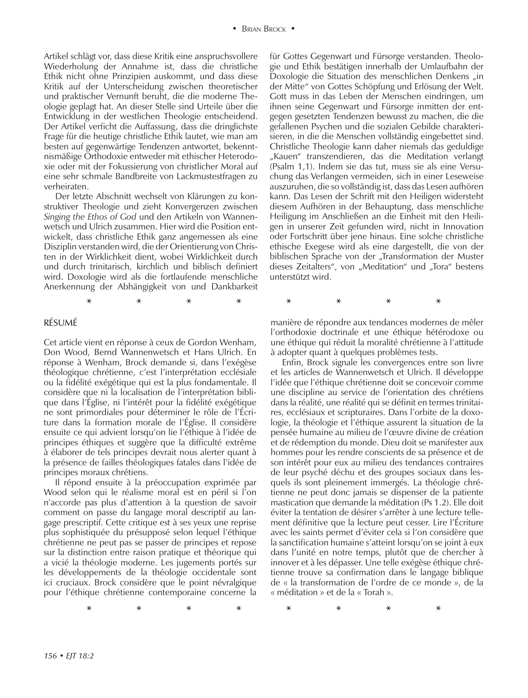Artikel schlägt vor, dass diese Kritik eine anspruchsvollere Wiederholung der Annahme ist, dass die christliche Ethik nicht ohne Prinzipien auskommt, und dass diese Kritik auf der Unterscheidung zwischen theoretischer und praktischer Vernunft beruht, die die moderne Theologie geplagt hat. An dieser Stelle sind Urteile über die Entwicklung in der westlichen Theologie entscheidend. Der Artikel verficht die Auffassung, dass die dringlichste Frage für die heutige christliche Ethik lautet, wie man am besten auf gegenwärtige Tendenzen antwortet, bekenntnismäßige Orthodoxie entweder mit ethischer Heterodoxie oder mit der Fokussierung von christlicher Moral auf eine sehr schmale Bandbreite von Lackmustestfragen zu verheiraten.

Der letzte Abschnitt wechselt von Klärungen zu konstruktiver Theologie und zieht Konvergenzen zwischen *Singing the Ethos of God* und den Artikeln von Wannenwetsch und Ulrich zusammen. Hier wird die Position entwickelt, dass christliche Ethik ganz angemessen als eine Disziplin verstanden wird, die der Orientierung von Christen in der Wirklichkeit dient, wobei Wirklichkeit durch und durch trinitarisch, kirchlich und biblisch definiert wird. Doxologie wird als die fortlaufende menschliche Anerkennung der Abhängigkeit von und Dankbarkeit

**\* \* \* \* \* \* \* \***

#### Résumé

Cet article vient en réponse à ceux de Gordon Wenham, Don Wood, Bernd Wannenwetsch et Hans Ulrich. En réponse à Wenham, Brock demande si, dans l'exégèse théologique chrétienne, c'est l'interprétation ecclésiale ou la fidélité exégétique qui est la plus fondamentale. Il considère que ni la localisation de l'interprétation biblique dans l'Église, ni l'intérêt pour la fidélité exégétique ne sont primordiales pour déterminer le rôle de l'Écriture dans la formation morale de l'Église. Il considère ensuite ce qui advient lorsqu'on lie l'éthique à l'idée de principes éthiques et suggère que la difficulté extrême à élaborer de tels principes devrait nous alerter quant à la présence de failles théologiques fatales dans l'idée de principes moraux chrétiens.

Il répond ensuite à la préoccupation exprimée par Wood selon qui le réalisme moral est en péril si l'on n'accorde pas plus d'attention à la question de savoir comment on passe du langage moral descriptif au langage prescriptif. Cette critique est à ses yeux une reprise plus sophistiquée du présupposé selon lequel l'éthique chrétienne ne peut pas se passer de principes et repose sur la distinction entre raison pratique et théorique qui a vicié la théologie moderne. Les jugements portés sur les développements de la théologie occidentale sont ici cruciaux. Brock considère que le point névralgique pour l'éthique chrétienne contemporaine concerne la

für Gottes Gegenwart und Fürsorge verstanden. Theologie und Ethik bestätigen innerhalb der Umlaufbahn der Doxologie die Situation des menschlichen Denkens "in der Mitte" von Gottes Schöpfung und Erlösung der Welt. Gott muss in das Leben der Menschen eindringen, um ihnen seine Gegenwart und Fürsorge inmitten der entgegen gesetzten Tendenzen bewusst zu machen, die die gefallenen Psychen und die sozialen Gebilde charakterisieren, in die die Menschen vollständig eingebettet sind. Christliche Theologie kann daher niemals das geduldige "Kauen" transzendieren, das die Meditation verlangt (Psalm 1,1). Indem sie das tut, muss sie als eine Versuchung das Verlangen vermeiden, sich in einer Leseweise auszuruhen, die so vollständig ist, dass das Lesen aufhören kann. Das Lesen der Schrift mit den Heiligen widersteht diesem Aufhören in der Behauptung, dass menschliche Heiligung im Anschließen an die Einheit mit den Heiligen in unserer Zeit gefunden wird, nicht in Innovation oder Fortschritt über jene hinaus. Eine solche christliche ethische Exegese wird als eine dargestellt, die von der biblischen Sprache von der "Transformation der Muster dieses Zeitalters", von "Meditation" und "Tora" bestens unterstützt wird.

manière de répondre aux tendances modernes de mêler

l'orthodoxie doctrinale et une éthique hétérodoxe ou une éthique qui réduit la moralité chrétienne à l'attitude à adopter quant à quelques problèmes tests. Enfin, Brock signale les convergences entre son livre

et les articles de Wannenwetsch et Ulrich. Il développe l'idée que l'éthique chrétienne doit se concevoir comme une discipline au service de l'orientation des chrétiens dans la réalité, une réalité qui se définit en termes trinitaires, ecclésiaux et scripturaires. Dans l'orbite de la doxologie, la théologie et l'éthique assurent la situation de la pensée humaine au milieu de l'œuvre divine de création et de rédemption du monde. Dieu doit se manifester aux hommes pour les rendre conscients de sa présence et de son intérêt pour eux au milieu des tendances contraires de leur psyché déchu et des groupes sociaux dans lesquels ils sont pleinement immergés. La théologie chrétienne ne peut donc jamais se dispenser de la patiente mastication que demande la méditation (Ps 1.2). Elle doit éviter la tentation de désirer s'arrêter à une lecture tellement définitive que la lecture peut cesser. Lire l'Écriture avec les saints permet d'éviter cela si l'on considère que la sanctification humaine s'atteint lorsqu'on se joint à eux dans l'unité en notre temps, plutôt que de chercher à innover et à les dépasser. Une telle exégèse éthique chrétienne trouve sa confirmation dans le langage biblique de « la transformation de l'ordre de ce monde », de la « méditation » et de la « Torah ».

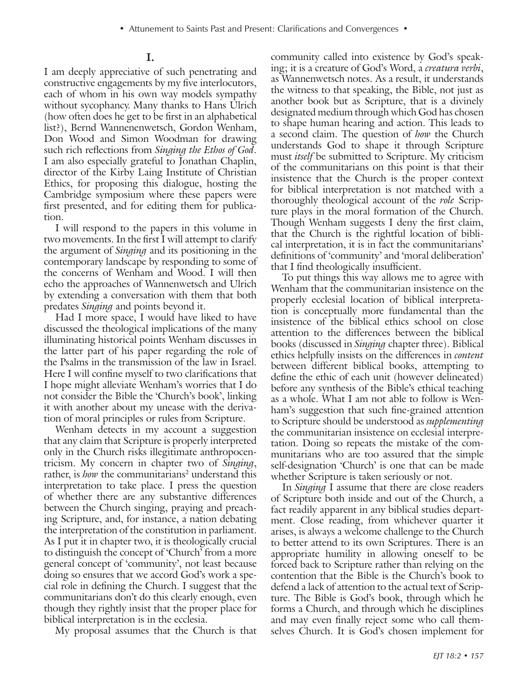## **I.**

I am deeply appreciative of such penetrating and constructive engagements by my five interlocutors, each of whom in his own way models sympathy without sycophancy. Many thanks to Hans Ulrich (how often does he get to be first in an alphabetical list?), Bernd Wannenenwetsch, Gordon Wenham, Don Wood and Simon Woodman for drawing such rich reflections from *Singing the Ethos of God*. I am also especially grateful to Jonathan Chaplin, director of the Kirby Laing Institute of Christian Ethics, for proposing this dialogue, hosting the Cambridge symposium where these papers were first presented, and for editing them for publication.

I will respond to the papers in this volume in two movements. In the first I will attempt to clarify the argument of *Singing* and its positioning in the contemporary landscape by responding to some of the concerns of Wenham and Wood. I will then echo the approaches of Wannenwetsch and Ulrich by extending a conversation with them that both predates *Singing* and points beyond it.

Had I more space, I would have liked to have discussed the theological implications of the many illuminating historical points Wenham discusses in the latter part of his paper regarding the role of the Psalms in the transmission of the law in Israel. Here I will confine myself to two clarifications that I hope might alleviate Wenham's worries that I do not consider the Bible the 'Church's book', linking it with another about my unease with the derivation of moral principles or rules from Scripture.

Wenham detects in my account a suggestion that any claim that Scripture is properly interpreted only in the Church risks illegitimate anthropocentricism. My concern in chapter two of *Singing*, rather, is *how* the communitarians<sup>2</sup> understand this interpretation to take place. I press the question of whether there are any substantive differences between the Church singing, praying and preaching Scripture, and, for instance, a nation debating the interpretation of the constitution in parliament. As I put it in chapter two, it is theologically crucial to distinguish the concept of 'Church' from a more general concept of 'community', not least because doing so ensures that we accord God's work a special role in defining the Church. I suggest that the communitarians don't do this clearly enough, even though they rightly insist that the proper place for biblical interpretation is in the ecclesia.

My proposal assumes that the Church is that

community called into existence by God's speaking; it is a creature of God's Word, a *creatura verbi*, as Wannenwetsch notes. As a result, it understands the witness to that speaking, the Bible, not just as another book but as Scripture, that is a divinely designated medium through which God has chosen to shape human hearing and action. This leads to a second claim. The question of *how* the Church understands God to shape it through Scripture must *itself* be submitted to Scripture. My criticism of the communitarians on this point is that their insistence that the Church is the proper context for biblical interpretation is not matched with a thoroughly theological account of the *role* Scripture plays in the moral formation of the Church. Though Wenham suggests I deny the first claim, that the Church is the rightful location of biblical interpretation, it is in fact the communitarians' definitions of 'community' and 'moral deliberation' that I find theologically insufficient.

To put things this way allows me to agree with Wenham that the communitarian insistence on the properly ecclesial location of biblical interpretation is conceptually more fundamental than the insistence of the biblical ethics school on close attention to the differences between the biblical books (discussed in *Singing* chapter three). Biblical ethics helpfully insists on the differences in *content* between different biblical books, attempting to define the ethic of each unit (however delineated) before any synthesis of the Bible's ethical teaching as a whole. What I am not able to follow is Wenham's suggestion that such fine-grained attention to Scripture should be understood as *supplementing* the communitarian insistence on ecclesial interpretation. Doing so repeats the mistake of the communitarians who are too assured that the simple self-designation 'Church' is one that can be made whether Scripture is taken seriously or not.

In *Singing* I assume that there are close readers of Scripture both inside and out of the Church, a fact readily apparent in any biblical studies department. Close reading, from whichever quarter it arises, is always a welcome challenge to the Church to better attend to its own Scriptures. There is an appropriate humility in allowing oneself to be forced back to Scripture rather than relying on the contention that the Bible is the Church's book to defend a lack of attention to the actual text of Scripture. The Bible is God's book, through which he forms a Church, and through which he disciplines and may even finally reject some who call themselves Church. It is God's chosen implement for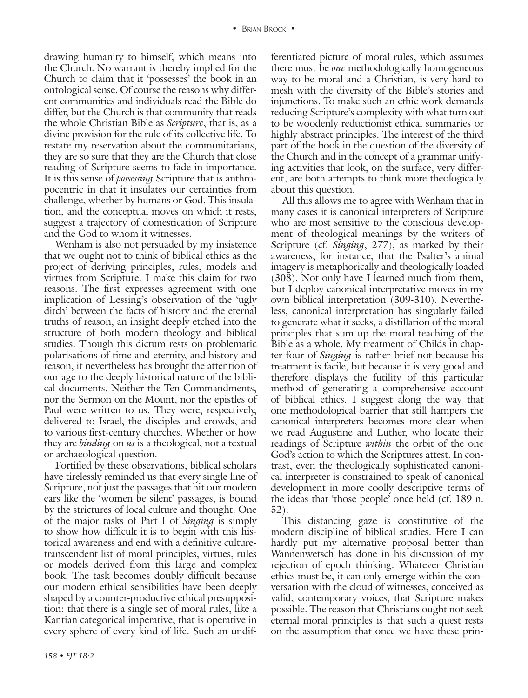drawing humanity to himself, which means into the Church. No warrant is thereby implied for the Church to claim that it 'possesses' the book in an ontological sense. Of course the reasons why different communities and individuals read the Bible do differ, but the Church is that community that reads the whole Christian Bible as *Scripture*, that is, as a divine provision for the rule of its collective life. To restate my reservation about the communitarians, they are so sure that they are the Church that close reading of Scripture seems to fade in importance. It is this sense of *possessing* Scripture that is anthropocentric in that it insulates our certainties from challenge, whether by humans or God. This insulation, and the conceptual moves on which it rests, suggest a trajectory of domestication of Scripture and the God to whom it witnesses.

Wenham is also not persuaded by my insistence that we ought not to think of biblical ethics as the project of deriving principles, rules, models and virtues from Scripture. I make this claim for two reasons. The first expresses agreement with one implication of Lessing's observation of the 'ugly ditch' between the facts of history and the eternal truths of reason, an insight deeply etched into the structure of both modern theology and biblical studies. Though this dictum rests on problematic polarisations of time and eternity, and history and reason, it nevertheless has brought the attention of our age to the deeply historical nature of the biblical documents. Neither the Ten Commandments, nor the Sermon on the Mount, nor the epistles of Paul were written to us. They were, respectively, delivered to Israel, the disciples and crowds, and to various first-century churches. Whether or how they are *binding* on *us* is a theological, not a textual or archaeological question.

Fortified by these observations, biblical scholars have tirelessly reminded us that every single line of Scripture, not just the passages that hit our modern ears like the 'women be silent' passages, is bound by the strictures of local culture and thought. One of the major tasks of Part I of *Singing* is simply to show how difficult it is to begin with this historical awareness and end with a definitive culturetranscendent list of moral principles, virtues, rules or models derived from this large and complex book. The task becomes doubly difficult because our modern ethical sensibilities have been deeply shaped by a counter-productive ethical presupposition: that there is a single set of moral rules, like a Kantian categorical imperative, that is operative in every sphere of every kind of life. Such an undifferentiated picture of moral rules, which assumes there must be *one* methodologically homogeneous way to be moral and a Christian, is very hard to mesh with the diversity of the Bible's stories and injunctions. To make such an ethic work demands reducing Scripture's complexity with what turn out to be woodenly reductionist ethical summaries or highly abstract principles. The interest of the third part of the book in the question of the diversity of the Church and in the concept of a grammar unifying activities that look, on the surface, very different, are both attempts to think more theologically about this question.

All this allows me to agree with Wenham that in many cases it is canonical interpreters of Scripture who are most sensitive to the conscious development of theological meanings by the writers of Scripture (cf. *Singing*, 277), as marked by their awareness, for instance, that the Psalter's animal imagery is metaphorically and theologically loaded (308). Not only have I learned much from them, but I deploy canonical interpretative moves in my own biblical interpretation (309-310). Nevertheless, canonical interpretation has singularly failed to generate what it seeks, a distillation of the moral principles that sum up the moral teaching of the Bible as a whole. My treatment of Childs in chapter four of *Singing* is rather brief not because his treatment is facile, but because it is very good and therefore displays the futility of this particular method of generating a comprehensive account of biblical ethics. I suggest along the way that one methodological barrier that still hampers the canonical interpreters becomes more clear when we read Augustine and Luther, who locate their readings of Scripture *within* the orbit of the one God's action to which the Scriptures attest. In contrast, even the theologically sophisticated canonical interpreter is constrained to speak of canonical development in more coolly descriptive terms of the ideas that 'those people' once held (cf. 189 n. 52).

This distancing gaze is constitutive of the modern discipline of biblical studies. Here I can hardly put my alternative proposal better than Wannenwetsch has done in his discussion of my rejection of epoch thinking. Whatever Christian ethics must be, it can only emerge within the conversation with the cloud of witnesses, conceived as valid, contemporary voices, that Scripture makes possible. The reason that Christians ought not seek eternal moral principles is that such a quest rests on the assumption that once we have these prin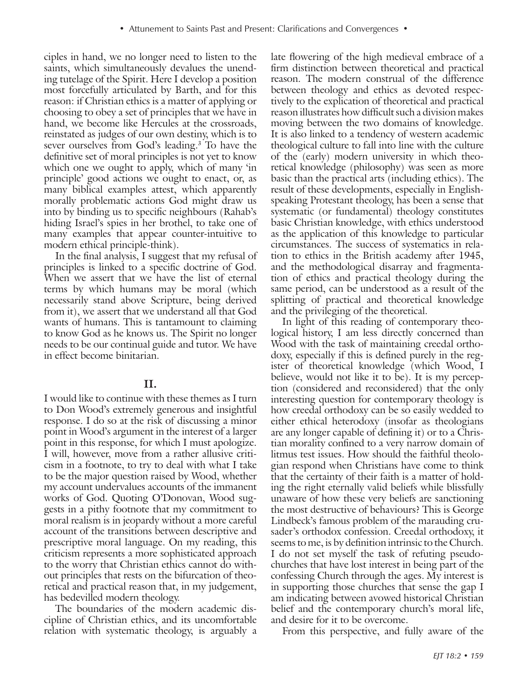ciples in hand, we no longer need to listen to the saints, which simultaneously devalues the unending tutelage of the Spirit. Here I develop a position most forcefully articulated by Barth, and for this reason: if Christian ethics is a matter of applying or choosing to obey a set of principles that we have in hand, we become like Hercules at the crossroads, reinstated as judges of our own destiny, which is to sever ourselves from God's leading.3 To have the definitive set of moral principles is not yet to know which one we ought to apply, which of many 'in principle' good actions we ought to enact, or, as many biblical examples attest, which apparently morally problematic actions God might draw us into by binding us to specific neighbours (Rahab's hiding Israel's spies in her brothel, to take one of many examples that appear counter-intuitive to modern ethical principle-think).

In the final analysis, I suggest that my refusal of principles is linked to a specific doctrine of God. When we assert that we have the list of eternal terms by which humans may be moral (which necessarily stand above Scripture, being derived from it), we assert that we understand all that God wants of humans. This is tantamount to claiming to know God as he knows us. The Spirit no longer needs to be our continual guide and tutor. We have in effect become binitarian.

### **II.**

I would like to continue with these themes as I turn to Don Wood's extremely generous and insightful response. I do so at the risk of discussing a minor point in Wood's argument in the interest of a larger point in this response, for which I must apologize. I will, however, move from a rather allusive criticism in a footnote, to try to deal with what I take to be the major question raised by Wood, whether my account undervalues accounts of the immanent works of God. Quoting O'Donovan, Wood suggests in a pithy footnote that my commitment to moral realism is in jeopardy without a more careful account of the transitions between descriptive and prescriptive moral language. On my reading, this criticism represents a more sophisticated approach to the worry that Christian ethics cannot do without principles that rests on the bifurcation of theoretical and practical reason that, in my judgement, has bedevilled modern theology.

The boundaries of the modern academic discipline of Christian ethics, and its uncomfortable relation with systematic theology, is arguably a late flowering of the high medieval embrace of a firm distinction between theoretical and practical reason. The modern construal of the difference between theology and ethics as devoted respectively to the explication of theoretical and practical reason illustrates how difficult such a division makes moving between the two domains of knowledge. It is also linked to a tendency of western academic theological culture to fall into line with the culture of the (early) modern university in which theoretical knowledge (philosophy) was seen as more basic than the practical arts (including ethics). The result of these developments, especially in Englishspeaking Protestant theology, has been a sense that systematic (or fundamental) theology constitutes basic Christian knowledge, with ethics understood as the application of this knowledge to particular circumstances. The success of systematics in relation to ethics in the British academy after 1945, and the methodological disarray and fragmentation of ethics and practical theology during the same period, can be understood as a result of the splitting of practical and theoretical knowledge and the privileging of the theoretical.

In light of this reading of contemporary theological history, I am less directly concerned than Wood with the task of maintaining creedal orthodoxy, especially if this is defined purely in the register of theoretical knowledge (which Wood, I believe, would not like it to be). It is my perception (considered and reconsidered) that the only interesting question for contemporary theology is how creedal orthodoxy can be so easily wedded to either ethical heterodoxy (insofar as theologians are any longer capable of defining it) or to a Christian morality confined to a very narrow domain of litmus test issues. How should the faithful theologian respond when Christians have come to think that the certainty of their faith is a matter of holding the right eternally valid beliefs while blissfully unaware of how these very beliefs are sanctioning the most destructive of behaviours? This is George Lindbeck's famous problem of the marauding crusader's orthodox confession. Creedal orthodoxy, it seems to me, is by definition intrinsic to the Church. I do not set myself the task of refuting pseudochurches that have lost interest in being part of the confessing Church through the ages. My interest is in supporting those churches that sense the gap I am indicating between avowed historical Christian belief and the contemporary church's moral life, and desire for it to be overcome.

From this perspective, and fully aware of the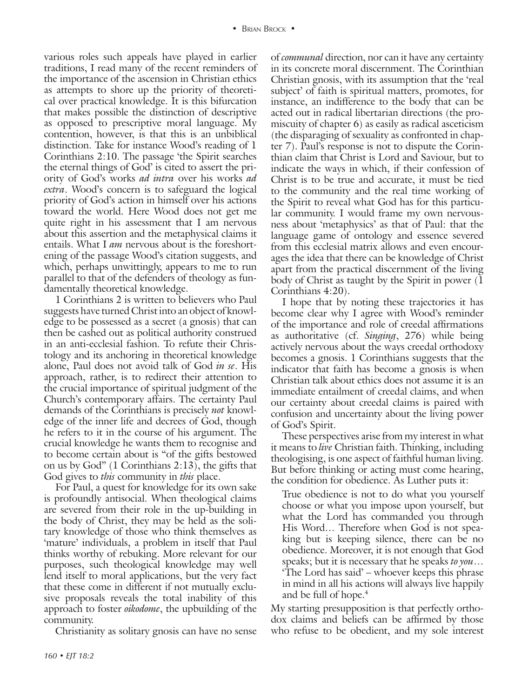various roles such appeals have played in earlier traditions, I read many of the recent reminders of the importance of the ascension in Christian ethics as attempts to shore up the priority of theoretical over practical knowledge. It is this bifurcation that makes possible the distinction of descriptive as opposed to prescriptive moral language. My contention, however, is that this is an unbiblical distinction. Take for instance Wood's reading of 1 Corinthians 2:10. The passage 'the Spirit searches the eternal things of God' is cited to assert the priority of God's works *ad intra* over his works *ad extra*. Wood's concern is to safeguard the logical priority of God's action in himself over his actions toward the world. Here Wood does not get me quite right in his assessment that I am nervous about this assertion and the metaphysical claims it entails. What I *am* nervous about is the foreshortening of the passage Wood's citation suggests, and which, perhaps unwittingly, appears to me to run parallel to that of the defenders of theology as fundamentally theoretical knowledge.

1 Corinthians 2 is written to believers who Paul suggests have turned Christ into an object of knowledge to be possessed as a secret (a gnosis) that can then be cashed out as political authority construed in an anti-ecclesial fashion. To refute their Christology and its anchoring in theoretical knowledge alone, Paul does not avoid talk of God *in se*. His approach, rather, is to redirect their attention to the crucial importance of spiritual judgment of the Church's contemporary affairs. The certainty Paul demands of the Corinthians is precisely *not* knowledge of the inner life and decrees of God, though he refers to it in the course of his argument. The crucial knowledge he wants them to recognise and to become certain about is "of the gifts bestowed on us by God" (1 Corinthians 2:13), the gifts that God gives to *this* community in *this* place.

For Paul, a quest for knowledge for its own sake is profoundly antisocial. When theological claims are severed from their role in the up-building in the body of Christ, they may be held as the solitary knowledge of those who think themselves as 'mature' individuals, a problem in itself that Paul thinks worthy of rebuking. More relevant for our purposes, such theological knowledge may well lend itself to moral applications, but the very fact that these come in different if not mutually exclusive proposals reveals the total inability of this approach to foster *oikodome*, the upbuilding of the community.

Christianity as solitary gnosis can have no sense

of *communal* direction, nor can it have any certainty in its concrete moral discernment. The Corinthian Christian gnosis, with its assumption that the 'real subject' of faith is spiritual matters, promotes, for instance, an indifference to the body that can be acted out in radical libertarian directions (the promiscuity of chapter 6) as easily as radical asceticism (the disparaging of sexuality as confronted in chapter 7). Paul's response is not to dispute the Corinthian claim that Christ is Lord and Saviour, but to indicate the ways in which, if their confession of Christ is to be true and accurate, it must be tied to the community and the real time working of the Spirit to reveal what God has for this particular community. I would frame my own nervousness about 'metaphysics' as that of Paul: that the language game of ontology and essence severed from this ecclesial matrix allows and even encourages the idea that there can be knowledge of Christ apart from the practical discernment of the living body of Christ as taught by the Spirit in power (1 Corinthians 4:20).

I hope that by noting these trajectories it has become clear why I agree with Wood's reminder of the importance and role of creedal affirmations as authoritative (cf. *Singing*, 276) while being actively nervous about the ways creedal orthodoxy becomes a gnosis. 1 Corinthians suggests that the indicator that faith has become a gnosis is when Christian talk about ethics does not assume it is an immediate entailment of creedal claims, and when our certainty about creedal claims is paired with confusion and uncertainty about the living power of God's Spirit.

These perspectives arise from my interest in what it means to *live* Christian faith. Thinking, including theologising, is one aspect of faithful human living. But before thinking or acting must come hearing, the condition for obedience. As Luther puts it:

True obedience is not to do what you yourself choose or what you impose upon yourself, but what the Lord has commanded you through His Word… Therefore when God is not speaking but is keeping silence, there can be no obedience. Moreover, it is not enough that God speaks; but it is necessary that he speaks *to you*… 'The Lord has said' – whoever keeps this phrase in mind in all his actions will always live happily and be full of hope.<sup>4</sup>

My starting presupposition is that perfectly orthodox claims and beliefs can be affirmed by those who refuse to be obedient, and my sole interest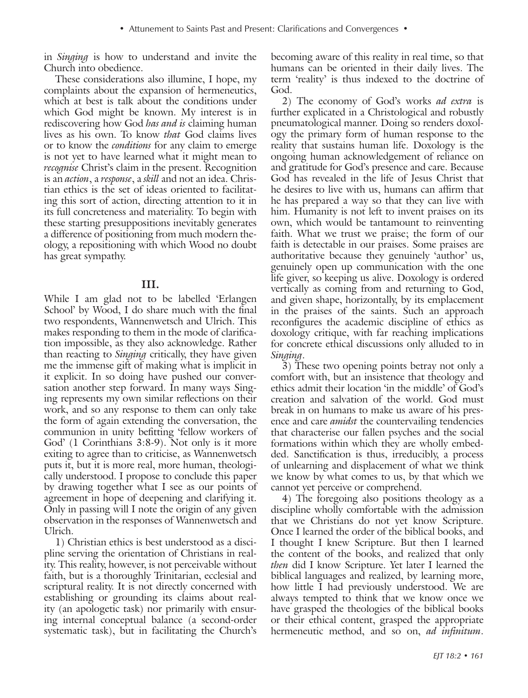in *Singing* is how to understand and invite the Church into obedience.

These considerations also illumine, I hope, my complaints about the expansion of hermeneutics, which at best is talk about the conditions under which God might be known. My interest is in rediscovering how God *has and is* claiming human lives as his own. To know *that* God claims lives or to know the *conditions* for any claim to emerge is not yet to have learned what it might mean to *recognise* Christ's claim in the present. Recognition is an *action*, a *response*, a *skill* and not an idea. Christian ethics is the set of ideas oriented to facilitating this sort of action, directing attention to it in its full concreteness and materiality. To begin with these starting presuppositions inevitably generates a difference of positioning from much modern theology, a repositioning with which Wood no doubt has great sympathy.

### **III.**

While I am glad not to be labelled 'Erlangen School' by Wood, I do share much with the final two respondents, Wannenwetsch and Ulrich. This makes responding to them in the mode of clarification impossible, as they also acknowledge. Rather than reacting to *Singing* critically, they have given me the immense gift of making what is implicit in it explicit. In so doing have pushed our conversation another step forward. In many ways Singing represents my own similar reflections on their work, and so any response to them can only take the form of again extending the conversation, the communion in unity befitting 'fellow workers of God' (1 Corinthians 3:8-9). Not only is it more exiting to agree than to criticise, as Wannenwetsch puts it, but it is more real, more human, theologically understood. I propose to conclude this paper by drawing together what I see as our points of agreement in hope of deepening and clarifying it. Only in passing will I note the origin of any given observation in the responses of Wannenwetsch and Ulrich.

1) Christian ethics is best understood as a discipline serving the orientation of Christians in reality. This reality, however, is not perceivable without faith, but is a thoroughly Trinitarian, ecclesial and scriptural reality. It is not directly concerned with establishing or grounding its claims about reality (an apologetic task) nor primarily with ensuring internal conceptual balance (a second-order systematic task), but in facilitating the Church's

becoming aware of this reality in real time, so that humans can be oriented in their daily lives. The term 'reality' is thus indexed to the doctrine of God.

2) The economy of God's works *ad extra* is further explicated in a Christological and robustly pneumatological manner. Doing so renders doxology the primary form of human response to the reality that sustains human life. Doxology is the ongoing human acknowledgement of reliance on and gratitude for God's presence and care. Because God has revealed in the life of Jesus Christ that he desires to live with us, humans can affirm that he has prepared a way so that they can live with him. Humanity is not left to invent praises on its own, which would be tantamount to reinventing faith. What we trust we praise; the form of our faith is detectable in our praises. Some praises are authoritative because they genuinely 'author' us, genuinely open up communication with the one life giver, so keeping us alive. Doxology is ordered vertically as coming from and returning to God, and given shape, horizontally, by its emplacement in the praises of the saints. Such an approach reconfigures the academic discipline of ethics as doxology critique, with far reaching implications for concrete ethical discussions only alluded to in *Singing*.

3) These two opening points betray not only a comfort with, but an insistence that theology and ethics admit their location 'in the middle' of God's creation and salvation of the world. God must break in on humans to make us aware of his presence and care *amidst* the countervailing tendencies that characterise our fallen psyches and the social formations within which they are wholly embedded. Sanctification is thus, irreducibly, a process of unlearning and displacement of what we think we know by what comes to us, by that which we cannot yet perceive or comprehend.

4) The foregoing also positions theology as a discipline wholly comfortable with the admission that we Christians do not yet know Scripture. Once I learned the order of the biblical books, and I thought I knew Scripture. But then I learned the content of the books, and realized that only *then* did I know Scripture. Yet later I learned the biblical languages and realized, by learning more, how little I had previously understood. We are always tempted to think that we know once we have grasped the theologies of the biblical books or their ethical content, grasped the appropriate hermeneutic method, and so on, *ad infinitum*.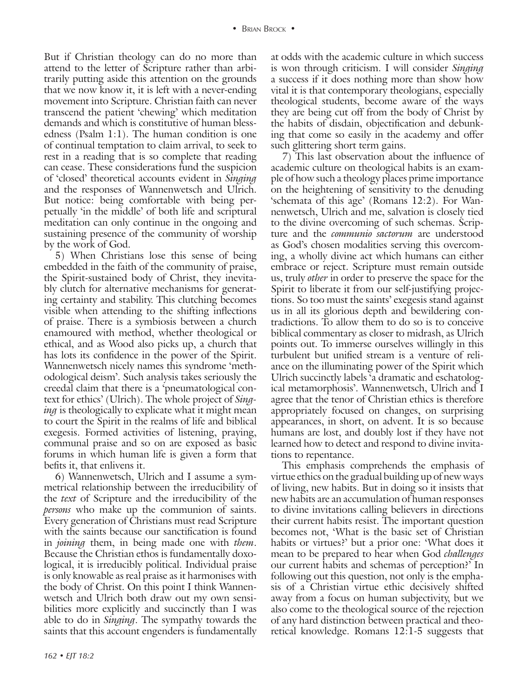But if Christian theology can do no more than attend to the letter of Scripture rather than arbitrarily putting aside this attention on the grounds that we now know it, it is left with a never-ending movement into Scripture. Christian faith can never transcend the patient 'chewing' which meditation demands and which is constitutive of human blessedness (Psalm 1:1). The human condition is one of continual temptation to claim arrival, to seek to rest in a reading that is so complete that reading can cease. These considerations fund the suspicion of 'closed' theoretical accounts evident in *Singing* and the responses of Wannenwetsch and Ulrich. But notice: being comfortable with being perpetually 'in the middle' of both life and scriptural meditation can only continue in the ongoing and sustaining presence of the community of worship by the work of God.

5) When Christians lose this sense of being embedded in the faith of the community of praise, the Spirit-sustained body of Christ, they inevitably clutch for alternative mechanisms for generating certainty and stability. This clutching becomes visible when attending to the shifting inflections of praise. There is a symbiosis between a church enamoured with method, whether theological or ethical, and as Wood also picks up, a church that has lots its confidence in the power of the Spirit. Wannenwetsch nicely names this syndrome 'methodological deism'. Such analysis takes seriously the creedal claim that there is a 'pneumatological context for ethics' (Ulrich). The whole project of *Singing* is theologically to explicate what it might mean to court the Spirit in the realms of life and biblical exegesis. Formed activities of listening, praying, communal praise and so on are exposed as basic forums in which human life is given a form that befits it, that enlivens it.

6) Wannenwetsch, Ulrich and I assume a symmetrical relationship between the irreducibility of the *text* of Scripture and the irreducibility of the *persons* who make up the communion of saints. Every generation of Christians must read Scripture with the saints because our sanctification is found in *joining* them, in being made one with *them*. Because the Christian ethos is fundamentally doxological, it is irreducibly political. Individual praise is only knowable as real praise as it harmonises with the body of Christ. On this point I think Wannenwetsch and Ulrich both draw out my own sensibilities more explicitly and succinctly than I was able to do in *Singing*. The sympathy towards the saints that this account engenders is fundamentally

at odds with the academic culture in which success is won through criticism. I will consider *Singing* a success if it does nothing more than show how vital it is that contemporary theologians, especially theological students, become aware of the ways they are being cut off from the body of Christ by the habits of disdain, objectification and debunking that come so easily in the academy and offer such glittering short term gains.

7) This last observation about the influence of academic culture on theological habits is an example of how such a theology places prime importance on the heightening of sensitivity to the denuding 'schemata of this age' (Romans 12:2). For Wannenwetsch, Ulrich and me, salvation is closely tied to the divine overcoming of such schemas. Scripture and the *communio sactorum* are understood as God's chosen modalities serving this overcoming, a wholly divine act which humans can either embrace or reject. Scripture must remain outside us, truly *other* in order to preserve the space for the Spirit to liberate it from our self-justifying projections. So too must the saints' exegesis stand against us in all its glorious depth and bewildering contradictions. To allow them to do so is to conceive biblical commentary as closer to midrash, as Ulrich points out. To immerse ourselves willingly in this turbulent but unified stream is a venture of reliance on the illuminating power of the Spirit which Ulrich succinctly labels 'a dramatic and eschatological metamorphosis'. Wannenwetsch, Ulrich and I agree that the tenor of Christian ethics is therefore appropriately focused on changes, on surprising appearances, in short, on advent. It is so because humans are lost, and doubly lost if they have not learned how to detect and respond to divine invitations to repentance.

This emphasis comprehends the emphasis of virtue ethics on the gradual building up of new ways of living, new habits. But in doing so it insists that new habits are an accumulation of human responses to divine invitations calling believers in directions their current habits resist. The important question becomes not, 'What is the basic set of Christian habits or virtues?' but a prior one: 'What does it mean to be prepared to hear when God *challenges* our current habits and schemas of perception?' In following out this question, not only is the emphasis of a Christian virtue ethic decisively shifted away from a focus on human subjectivity, but we also come to the theological source of the rejection of any hard distinction between practical and theoretical knowledge. Romans 12:1-5 suggests that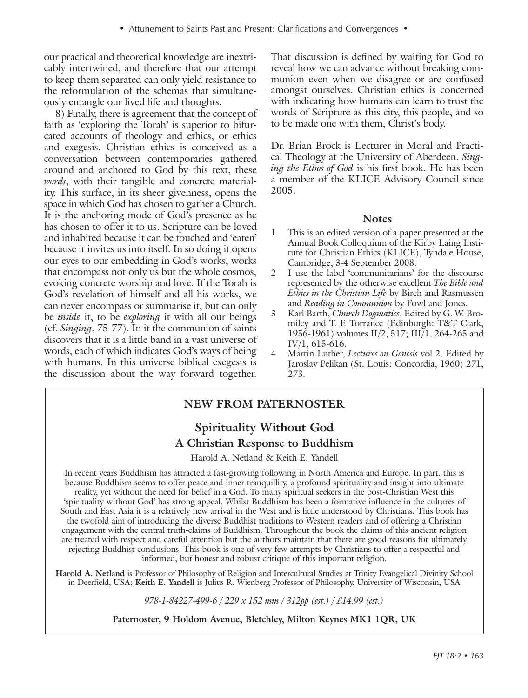our practical and theoretical knowledge are inextricably intertwined, and therefore that our attempt to keep them separated can only yield resistance to the reformulation of the schemas that simultaneously entangle our lived life and thoughts.

8) Finally, there is agreement that the concept of faith as 'exploring the Torah' is superior to bifurcated accounts of theology and ethics, or ethics and exegesis. Christian ethics is conceived as a conversation between contemporaries gathered around and anchored to God by this text, these *words*, with their tangible and concrete materiality. This surface, in its sheer givenness, opens the space in which God has chosen to gather a Church. It is the anchoring mode of God's presence as he has chosen to offer it to us. Scripture can be loved and inhabited because it can be touched and 'eaten' because it invites us into itself. In so doing it opens our eyes to our embedding in God's works, works that encompass not only us but the whole cosmos, evoking concrete worship and love. If the Torah is God's revelation of himself and all his works, we can never encompass or summarise it, but can only be *inside* it, to be *exploring* it with all our beings (cf. *Singing*, 75-77). In it the communion of saints discovers that it is a little band in a vast universe of words, each of which indicates God's ways of being with humans. In this universe biblical exegesis is the discussion about the way forward together.

That discussion is defined by waiting for God to reveal how we can advance without breaking communion even when we disagree or are confused amongst ourselves. Christian ethics is concerned with indicating how humans can learn to trust the words of Scripture as this city, this people, and so to be made one with them, Christ's body.

Dr. Brian Brock is Lecturer in Moral and Practical Theology at the University of Aberdeen. *Singing the Ethos of God* is his first book. He has been a member of the KLICE Advisory Council since 2005.

#### **Notes**

- 1 This is an edited version of a paper presented at the Annual Book Colloquium of the Kirby Laing Institute for Christian Ethics (KLICE), Tyndale House, Cambridge, 3-4 September 2008.
- 2 I use the label 'communitarians' for the discourse represented by the otherwise excellent *The Bible and Ethics in the Christian Life* by Birch and Rasmussen and *Reading in Communion* by Fowl and Jones.
- 3 Karl Barth, *Church Dogmatics*. Edited by G. W. Bromiley and T. F. Torrance (Edinburgh: T&T Clark, 1956-1961) volumes II/2, 517; III/1, 264-265 and IV/1, 615-616.
- 4 Martin Luther, *Lectures on Genesis* vol 2. Edited by Jaroslav Pelikan (St. Louis: Concordia, 1960) 271, 273.

# **New From Paternoster**

# **Spirituality Without God A Christian Response to Buddhism**

Harold A. Netland & Keith E. Yandell

In recent years Buddhism has attracted a fast-growing following in North America and Europe. In part, this is because Buddhism seems to offer peace and inner tranquillity, a profound spirituality and insight into ultimate reality, yet without the need for belief in a God. To many spiritual seekers in the post-Christian West this 'spirituality without God' has strong appeal. Whilst Buddhism has been a formative influence in the cultures of South and East Asia it is a relatively new arrival in the West and is little understood by Christians. This book has the twofold aim of introducing the diverse Buddhist traditions to Western readers and of offering a Christian engagement with the central truth-claims of Buddhism. Throughout the book the claims of this ancient religion are treated with respect and careful attention but the authors maintain that there are good reasons for ultimately rejecting Buddhist conclusions. This book is one of very few attempts by Christians to offer a respectful and informed, but honest and robust critique of this important religion.

**Harold A. Netland** is Professor of Philosophy of Religion and Intercultural Studies at Trinity Evangelical Divinity School in Deerfield, USA; **Keith E. Yandell** is Julius R. Wienberg Professor of Philosophy, University of Wisconsin, USA

*978-1-84227-499-6 / 229 x 152 mm / 312pp (est.) / £14.99 (est.)*

**Paternoster, 9 Holdom Avenue, Bletchley, Milton Keynes MK1 1QR, UK**